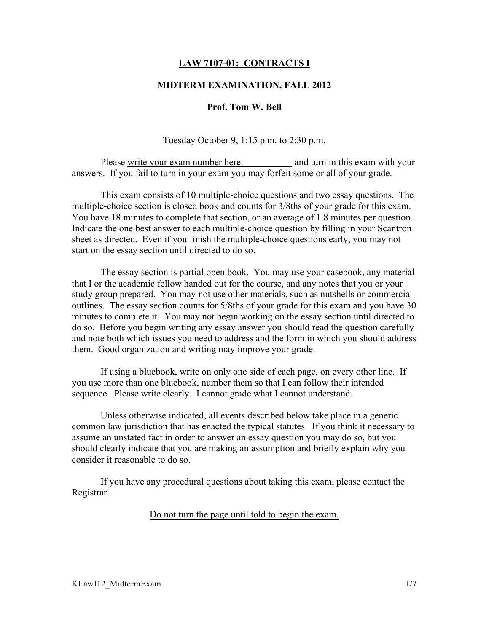# LAW 7107-01: CONTRACTS I

## MIDTERM EXAMINATION, FALL 2012

### Prof. Tom W. Bell

Tuesday October 9, 1:15 p.m. to 2:30 p.m.

Please write your exam number here: and turn in this exam with your answers. If you fail to turn in your exam you may forfeit some or all of your grade.

This exam consists of 10 multiple-choice questions and two essay questions. The multiple-choice section is closed book and counts for 3/8ths of your grade for this exam. You have 18 minutes to complete that section, or an average of 1.8 minutes per question. Indicate the one best answer to each multiple-choice question by filling in your Scantron sheet as directed. Even if you finish the multiple-choice questions early, you may not start on the essay section until directed to do so.

The essay section is partial open book. You may use your casebook, any material that I or the academic fellow handed out for the course, and any notes that you or your study group prepared. You may not use other materials, such as nutshells or commercial outlines. The essay section counts for 5/8ths of your grade for this exam and you have 30 minutes to complete it. You may not begin working on the essay section until directed to do so. Before you begin writing any essay answer you should read the question carefully and note both which issues you need to address and the form in which you should address them. Good organization and writing may improve your grade.

If using a bluebook, write on only one side of each page, on every other line. If you use more than one bluebook, number them so that I can follow their intended sequence. Please write clearly. I cannot grade what I cannot understand.

Unless otherwise indicated, all events described below take place in a generic common law jurisdiction that has enacted the typical statutes. If you think it necessary to assume an unstated fact in order to answer an essay question you may do so, but you should clearly indicate that you are making an assumption and briefly explain why you consider it reasonable to do so.

If you have any procedural questions about taking this exam, please contact the Registrar.

Do not turn the page until told to begin the exam.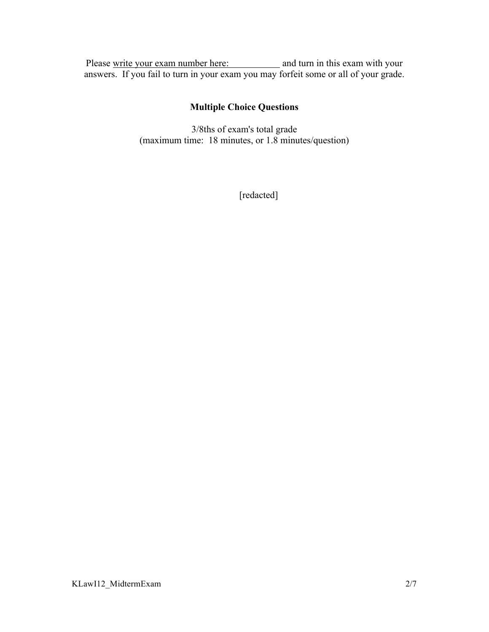Please write your exam number here: and turn in this exam with your answers. If you fail to turn in your exam you may forfeit some or all of your grade.

# Multiple Choice Questions

3/8ths of exam's total grade (maximum time: 18 minutes, or 1.8 minutes/question)

[redacted]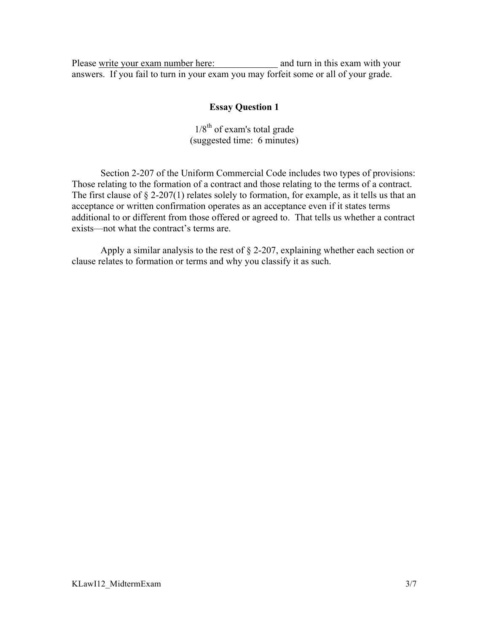Please write your exam number here: and turn in this exam with your answers. If you fail to turn in your exam you may forfeit some or all of your grade.

# Essay Question 1

 $1/8^{th}$  of exam's total grade (suggested time: 6 minutes)

Section 2-207 of the Uniform Commercial Code includes two types of provisions: Those relating to the formation of a contract and those relating to the terms of a contract. The first clause of  $\S 2-207(1)$  relates solely to formation, for example, as it tells us that an acceptance or written confirmation operates as an acceptance even if it states terms additional to or different from those offered or agreed to. That tells us whether a contract exists—not what the contract's terms are.

Apply a similar analysis to the rest of § 2-207, explaining whether each section or clause relates to formation or terms and why you classify it as such.